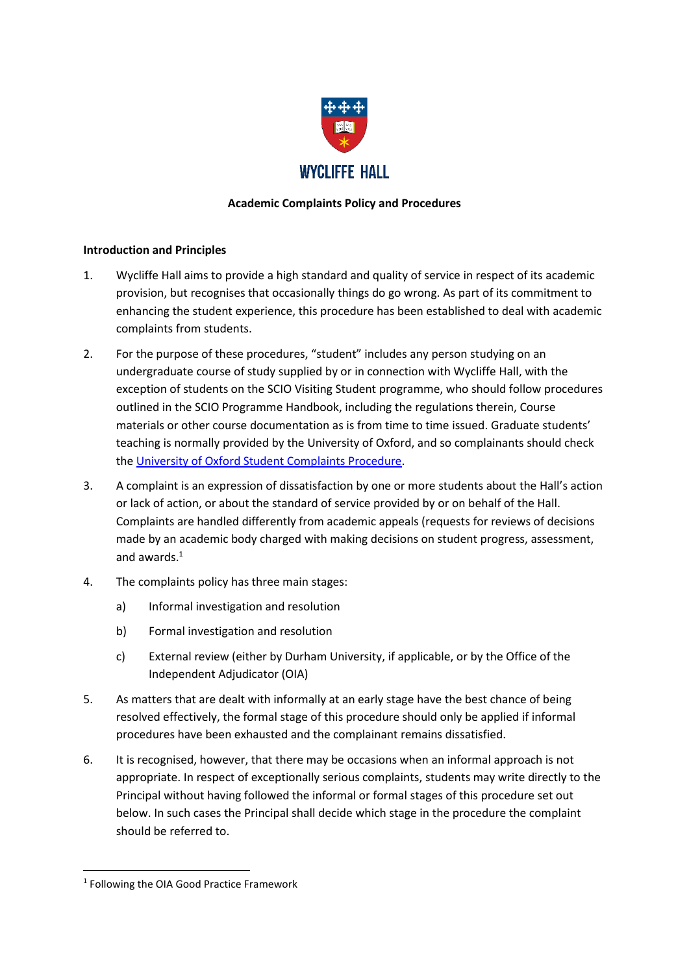

## **Academic Complaints Policy and Procedures**

### **Introduction and Principles**

- 1. Wycliffe Hall aims to provide a high standard and quality of service in respect of its academic provision, but recognises that occasionally things do go wrong. As part of its commitment to enhancing the student experience, this procedure has been established to deal with academic complaints from students.
- 2. For the purpose of these procedures, "student" includes any person studying on an undergraduate course of study supplied by or in connection with Wycliffe Hall, with the exception of students on the SCIO Visiting Student programme, who should follow procedures outlined in the SCIO Programme Handbook, including the regulations therein, Course materials or other course documentation as is from time to time issued. Graduate students' teaching is normally provided by the University of Oxford, and so complainants should check the [University of Oxford Student Complaints Procedure.](http://www.proctors.ox.ac.uk/complaintsandacademicappeals/complaints/)
- 3. A complaint is an expression of dissatisfaction by one or more students about the Hall's action or lack of action, or about the standard of service provided by or on behalf of the Hall. Complaints are handled differently from academic appeals (requests for reviews of decisions made by an academic body charged with making decisions on student progress, assessment, and awards.<sup>1</sup>
- 4. The complaints policy has three main stages:
	- a) Informal investigation and resolution
	- b) Formal investigation and resolution
	- c) External review (either by Durham University, if applicable, or by the Office of the Independent Adjudicator (OIA)
- 5. As matters that are dealt with informally at an early stage have the best chance of being resolved effectively, the formal stage of this procedure should only be applied if informal procedures have been exhausted and the complainant remains dissatisfied.
- 6. It is recognised, however, that there may be occasions when an informal approach is not appropriate. In respect of exceptionally serious complaints, students may write directly to the Principal without having followed the informal or formal stages of this procedure set out below. In such cases the Principal shall decide which stage in the procedure the complaint should be referred to.

**.** 

<sup>&</sup>lt;sup>1</sup> Following the OIA Good Practice Framework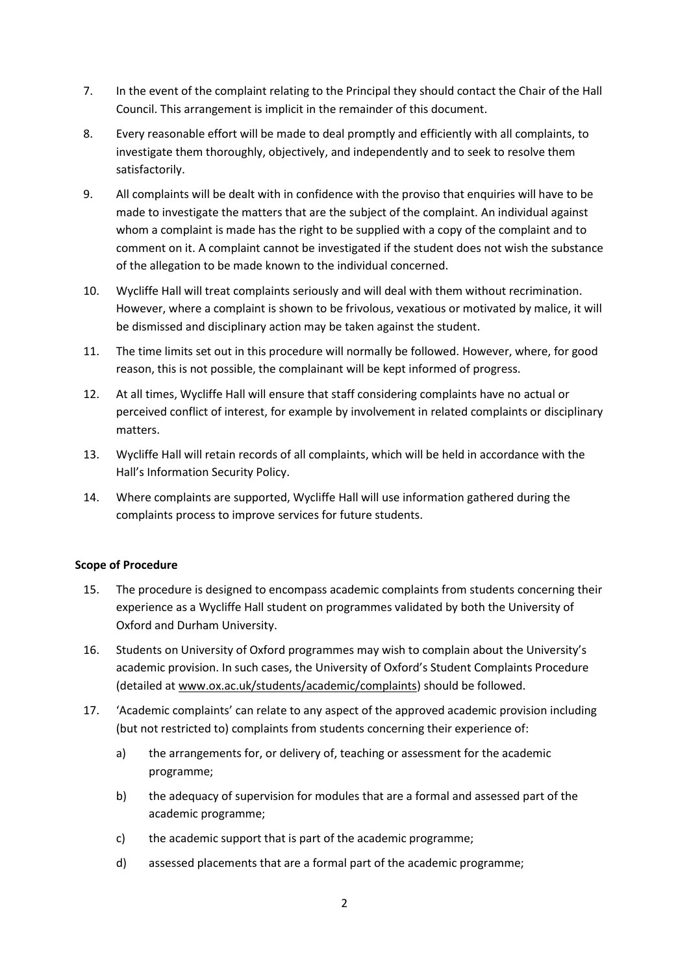- 7. In the event of the complaint relating to the Principal they should contact the Chair of the Hall Council. This arrangement is implicit in the remainder of this document.
- 8. Every reasonable effort will be made to deal promptly and efficiently with all complaints, to investigate them thoroughly, objectively, and independently and to seek to resolve them satisfactorily.
- 9. All complaints will be dealt with in confidence with the proviso that enquiries will have to be made to investigate the matters that are the subject of the complaint. An individual against whom a complaint is made has the right to be supplied with a copy of the complaint and to comment on it. A complaint cannot be investigated if the student does not wish the substance of the allegation to be made known to the individual concerned.
- 10. Wycliffe Hall will treat complaints seriously and will deal with them without recrimination. However, where a complaint is shown to be frivolous, vexatious or motivated by malice, it will be dismissed and disciplinary action may be taken against the student.
- 11. The time limits set out in this procedure will normally be followed. However, where, for good reason, this is not possible, the complainant will be kept informed of progress.
- 12. At all times, Wycliffe Hall will ensure that staff considering complaints have no actual or perceived conflict of interest, for example by involvement in related complaints or disciplinary matters.
- 13. Wycliffe Hall will retain records of all complaints, which will be held in accordance with the Hall's Information Security Policy.
- 14. Where complaints are supported, Wycliffe Hall will use information gathered during the complaints process to improve services for future students.

## **Scope of Procedure**

- 15. The procedure is designed to encompass academic complaints from students concerning their experience as a Wycliffe Hall student on programmes validated by both the University of Oxford and Durham University.
- 16. Students on University of Oxford programmes may wish to complain about the University's academic provision. In such cases, the University of Oxford's Student Complaints Procedure (detailed at [www.ox.ac.uk/students/academic/complaints\)](http://www.ox.ac.uk/students/academic/complaints) should be followed.
- 17. 'Academic complaints' can relate to any aspect of the approved academic provision including (but not restricted to) complaints from students concerning their experience of:
	- a) the arrangements for, or delivery of, teaching or assessment for the academic programme;
	- b) the adequacy of supervision for modules that are a formal and assessed part of the academic programme;
	- c) the academic support that is part of the academic programme;
	- d) assessed placements that are a formal part of the academic programme;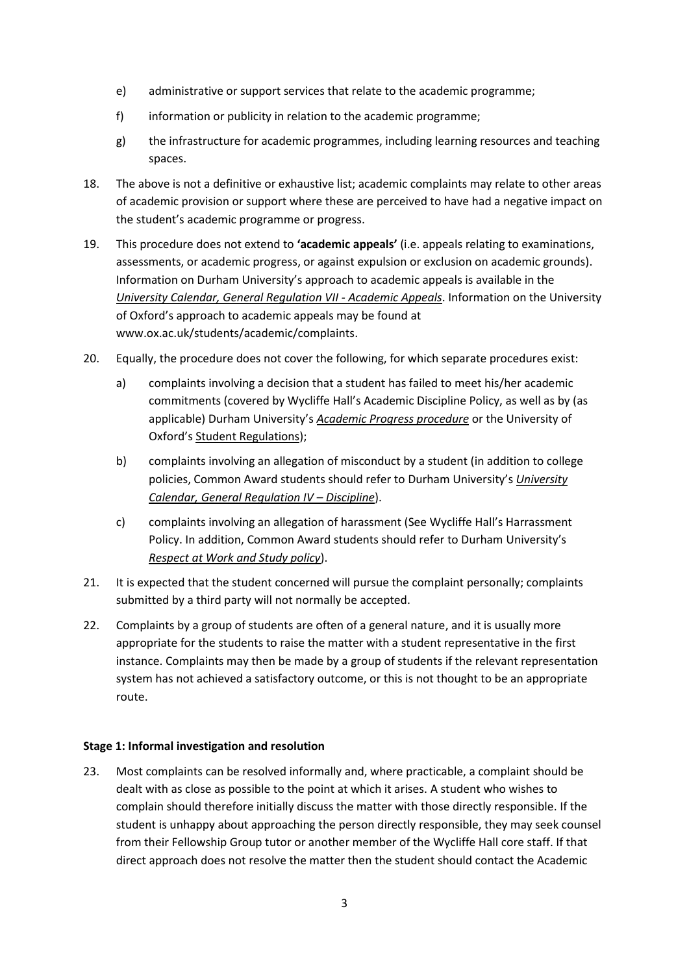- e) administrative or support services that relate to the academic programme;
- f) information or publicity in relation to the academic programme;
- g) the infrastructure for academic programmes, including learning resources and teaching spaces.
- 18. The above is not a definitive or exhaustive list; academic complaints may relate to other areas of academic provision or support where these are perceived to have had a negative impact on the student's academic programme or progress.
- 19. This procedure does not extend to **'academic appeals'** (i.e. appeals relating to examinations, assessments, or academic progress, or against expulsion or exclusion on academic grounds). Information on Durham University's approach to academic appeals is available in the *[University Calendar, General Regulation VII -](https://www.dur.ac.uk/university.calendar/volumei/general_regulations/academic_appeals/) Academic Appeals*. Information on the University of Oxford's approach to academic appeals may be found at www.ox.ac.uk/students/academic/complaints.
- 20. Equally, the procedure does not cover the following, for which separate procedures exist:
	- a) complaints involving a decision that a student has failed to meet his/her academic commitments (covered by Wycliffe Hall's Academic Discipline Policy, as well as by (as applicable) Durham University's *[Academic Progress procedure](https://www.dur.ac.uk/learningandteaching.handbook/2/6/3/)* or the University of Oxford's [Student Regulations\)](http://www.ox.ac.uk/students/academic/student-handbook);
	- b) complaints involving an allegation of misconduct by a student (in addition to college policies, Common Award students should refer to Durham University's *[University](https://www.dur.ac.uk/university.calendar/volumei/general_regulations/discipline/) [Calendar, General Regulation IV](https://www.dur.ac.uk/university.calendar/volumei/general_regulations/discipline/) – Discipline*).
	- c) complaints involving an allegation of harassment (See Wycliffe Hall's Harrassment Policy. In addition, Common Award students should refer to Durham University's *[Respect at Work and Study policy](https://www.dur.ac.uk/diversity.equality/contact/respect/)*).
- 21. It is expected that the student concerned will pursue the complaint personally; complaints submitted by a third party will not normally be accepted.
- 22. Complaints by a group of students are often of a general nature, and it is usually more appropriate for the students to raise the matter with a student representative in the first instance. Complaints may then be made by a group of students if the relevant representation system has not achieved a satisfactory outcome, or this is not thought to be an appropriate route.

#### **Stage 1: Informal investigation and resolution**

23. Most complaints can be resolved informally and, where practicable, a complaint should be dealt with as close as possible to the point at which it arises. A student who wishes to complain should therefore initially discuss the matter with those directly responsible. If the student is unhappy about approaching the person directly responsible, they may seek counsel from their Fellowship Group tutor or another member of the Wycliffe Hall core staff. If that direct approach does not resolve the matter then the student should contact the Academic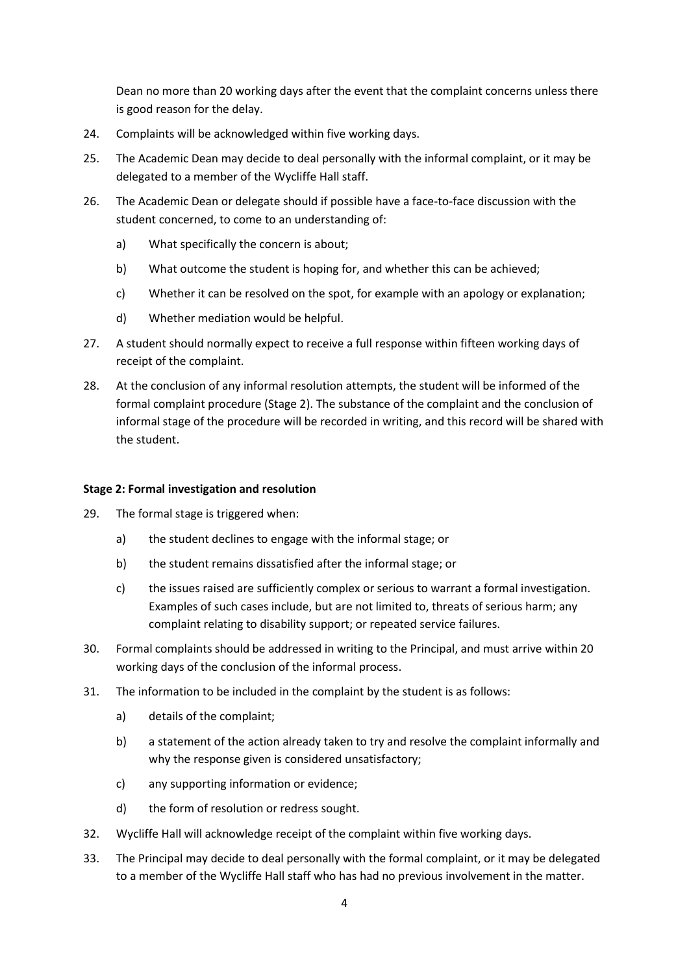Dean no more than 20 working days after the event that the complaint concerns unless there is good reason for the delay.

- 24. Complaints will be acknowledged within five working days.
- 25. The Academic Dean may decide to deal personally with the informal complaint, or it may be delegated to a member of the Wycliffe Hall staff.
- 26. The Academic Dean or delegate should if possible have a face-to-face discussion with the student concerned, to come to an understanding of:
	- a) What specifically the concern is about;
	- b) What outcome the student is hoping for, and whether this can be achieved;
	- c) Whether it can be resolved on the spot, for example with an apology or explanation;
	- d) Whether mediation would be helpful.
- 27. A student should normally expect to receive a full response within fifteen working days of receipt of the complaint.
- 28. At the conclusion of any informal resolution attempts, the student will be informed of the formal complaint procedure (Stage 2). The substance of the complaint and the conclusion of informal stage of the procedure will be recorded in writing, and this record will be shared with the student.

#### **Stage 2: Formal investigation and resolution**

- 29. The formal stage is triggered when:
	- a) the student declines to engage with the informal stage; or
	- b) the student remains dissatisfied after the informal stage; or
	- c) the issues raised are sufficiently complex or serious to warrant a formal investigation. Examples of such cases include, but are not limited to, threats of serious harm; any complaint relating to disability support; or repeated service failures.
- 30. Formal complaints should be addressed in writing to the Principal, and must arrive within 20 working days of the conclusion of the informal process.
- 31. The information to be included in the complaint by the student is as follows:
	- a) details of the complaint;
	- b) a statement of the action already taken to try and resolve the complaint informally and why the response given is considered unsatisfactory;
	- c) any supporting information or evidence;
	- d) the form of resolution or redress sought.
- 32. Wycliffe Hall will acknowledge receipt of the complaint within five working days.
- 33. The Principal may decide to deal personally with the formal complaint, or it may be delegated to a member of the Wycliffe Hall staff who has had no previous involvement in the matter.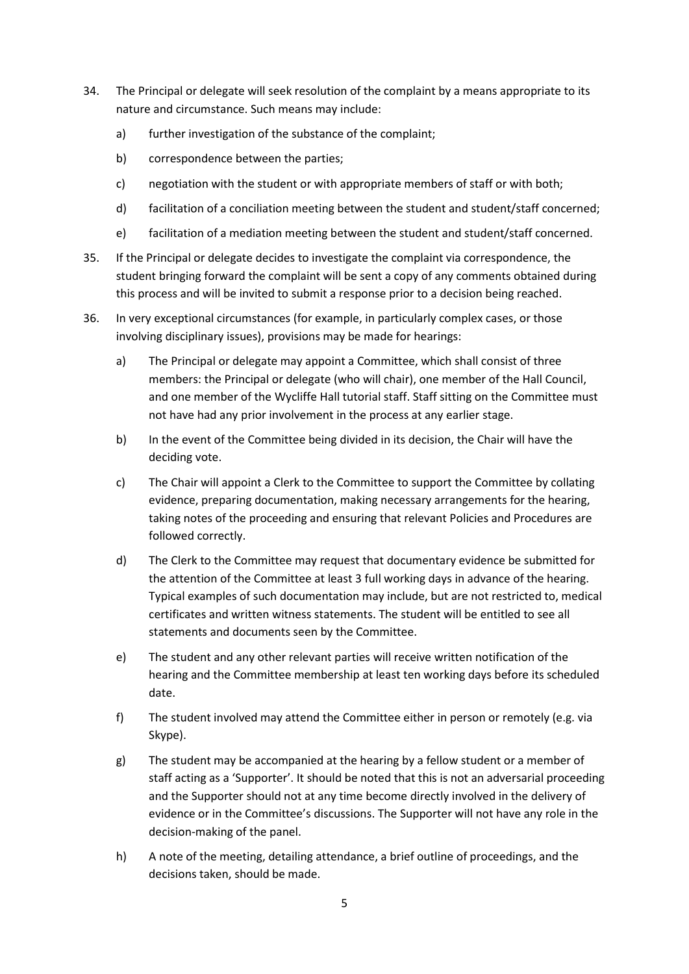- 34. The Principal or delegate will seek resolution of the complaint by a means appropriate to its nature and circumstance. Such means may include:
	- a) further investigation of the substance of the complaint;
	- b) correspondence between the parties;
	- c) negotiation with the student or with appropriate members of staff or with both;
	- d) facilitation of a conciliation meeting between the student and student/staff concerned;
	- e) facilitation of a mediation meeting between the student and student/staff concerned.
- 35. If the Principal or delegate decides to investigate the complaint via correspondence, the student bringing forward the complaint will be sent a copy of any comments obtained during this process and will be invited to submit a response prior to a decision being reached.
- 36. In very exceptional circumstances (for example, in particularly complex cases, or those involving disciplinary issues), provisions may be made for hearings:
	- a) The Principal or delegate may appoint a Committee, which shall consist of three members: the Principal or delegate (who will chair), one member of the Hall Council, and one member of the Wycliffe Hall tutorial staff. Staff sitting on the Committee must not have had any prior involvement in the process at any earlier stage.
	- b) In the event of the Committee being divided in its decision, the Chair will have the deciding vote.
	- c) The Chair will appoint a Clerk to the Committee to support the Committee by collating evidence, preparing documentation, making necessary arrangements for the hearing, taking notes of the proceeding and ensuring that relevant Policies and Procedures are followed correctly.
	- d) The Clerk to the Committee may request that documentary evidence be submitted for the attention of the Committee at least 3 full working days in advance of the hearing. Typical examples of such documentation may include, but are not restricted to, medical certificates and written witness statements. The student will be entitled to see all statements and documents seen by the Committee.
	- e) The student and any other relevant parties will receive written notification of the hearing and the Committee membership at least ten working days before its scheduled date.
	- f) The student involved may attend the Committee either in person or remotely (e.g. via Skype).
	- g) The student may be accompanied at the hearing by a fellow student or a member of staff acting as a 'Supporter'. It should be noted that this is not an adversarial proceeding and the Supporter should not at any time become directly involved in the delivery of evidence or in the Committee's discussions. The Supporter will not have any role in the decision-making of the panel.
	- h) A note of the meeting, detailing attendance, a brief outline of proceedings, and the decisions taken, should be made.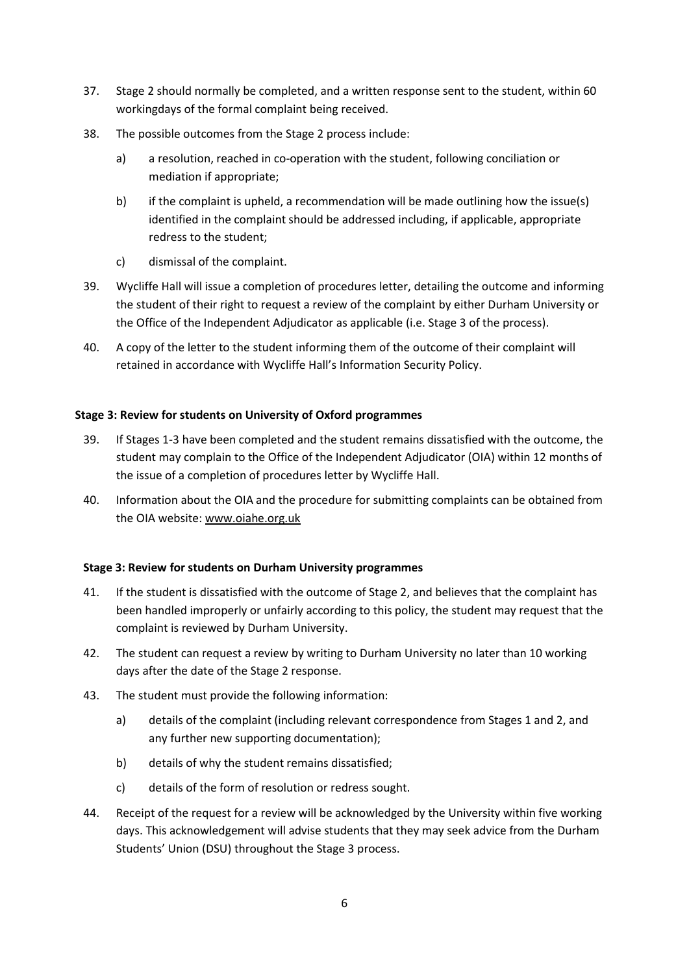- 37. Stage 2 should normally be completed, and a written response sent to the student, within 60 workingdays of the formal complaint being received.
- 38. The possible outcomes from the Stage 2 process include:
	- a) a resolution, reached in co-operation with the student, following conciliation or mediation if appropriate;
	- b) if the complaint is upheld, a recommendation will be made outlining how the issue(s) identified in the complaint should be addressed including, if applicable, appropriate redress to the student;
	- c) dismissal of the complaint.
- 39. Wycliffe Hall will issue a completion of procedures letter, detailing the outcome and informing the student of their right to request a review of the complaint by either Durham University or the Office of the Independent Adjudicator as applicable (i.e. Stage 3 of the process).
- 40. A copy of the letter to the student informing them of the outcome of their complaint will retained in accordance with Wycliffe Hall's Information Security Policy.

# **Stage 3: Review for students on University of Oxford programmes**

- 39. If Stages 1-3 have been completed and the student remains dissatisfied with the outcome, the student may complain to the Office of the Independent Adjudicator (OIA) within 12 months of the issue of a completion of procedures letter by Wycliffe Hall.
- 40. Information about the OIA and the procedure for submitting complaints can be obtained from the OIA website: [www.oiahe.org.uk](http://www.oiahe.org.uk/)

## **Stage 3: Review for students on Durham University programmes**

- 41. If the student is dissatisfied with the outcome of Stage 2, and believes that the complaint has been handled improperly or unfairly according to this policy, the student may request that the complaint is reviewed by Durham University.
- 42. The student can request a review by writing to Durham University no later than 10 working days after the date of the Stage 2 response.
- 43. The student must provide the following information:
	- a) details of the complaint (including relevant correspondence from Stages 1 and 2, and any further new supporting documentation);
	- b) details of why the student remains dissatisfied;
	- c) details of the form of resolution or redress sought.
- 44. Receipt of the request for a review will be acknowledged by the University within five working days. This acknowledgement will advise students that they may seek advice from the Durham Students' Union (DSU) throughout the Stage 3 process.